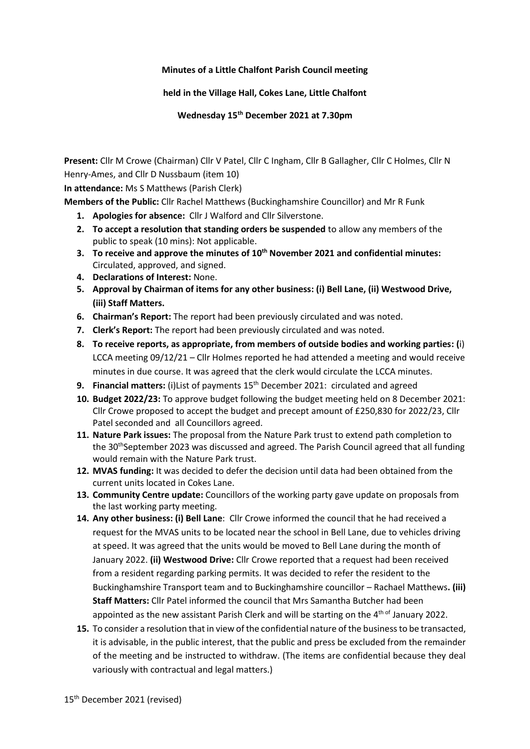## **Minutes of a Little Chalfont Parish Council meeting**

## **held in the Village Hall, Cokes Lane, Little Chalfont**

**Wednesday 15 th December 2021 at 7.30pm**

**Present:** Cllr M Crowe (Chairman) Cllr V Patel, Cllr C Ingham, Cllr B Gallagher, Cllr C Holmes, Cllr N Henry-Ames, and Cllr D Nussbaum (item 10)

**In attendance:** Ms S Matthews (Parish Clerk)

**Members of the Public:** Cllr Rachel Matthews (Buckinghamshire Councillor) and Mr R Funk

- **1. Apologies for absence:** Cllr J Walford and Cllr Silverstone.
- **2. To accept a resolution that standing orders be suspended** to allow any members of the public to speak (10 mins): Not applicable.
- **3. To receive and approve the minutes of 10th November 2021 and confidential minutes:**  Circulated, approved, and signed.
- **4. Declarations of Interest:** None.
- **5. Approval by Chairman of items for any other business: (i) Bell Lane, (ii) Westwood Drive, (iii) Staff Matters.**
- **6. Chairman's Report:** The report had been previously circulated and was noted.
- **7. Clerk's Report:** The report had been previously circulated and was noted.
- **8. To receive reports, as appropriate, from members of outside bodies and working parties: (**i) LCCA meeting 09/12/21 – Cllr Holmes reported he had attended a meeting and would receive minutes in due course. It was agreed that the clerk would circulate the LCCA minutes.
- **9. Financial matters:** (i)List of payments 15<sup>th</sup> December 2021: circulated and agreed
- **10. Budget 2022/23:** To approve budget following the budget meeting held on 8 December 2021: Cllr Crowe proposed to accept the budget and precept amount of £250,830 for 2022/23, Cllr Patel seconded and all Councillors agreed.
- **11. Nature Park issues:** The proposal from the Nature Park trust to extend path completion to the 30<sup>th</sup>September 2023 was discussed and agreed. The Parish Council agreed that all funding would remain with the Nature Park trust.
- **12. MVAS funding:** It was decided to defer the decision until data had been obtained from the current units located in Cokes Lane.
- **13. Community Centre update:** Councillors of the working party gave update on proposals from the last working party meeting.
- **14. Any other business: (i) Bell Lane**: Cllr Crowe informed the council that he had received a request for the MVAS units to be located near the school in Bell Lane, due to vehicles driving at speed. It was agreed that the units would be moved to Bell Lane during the month of January 2022. **(ii) Westwood Drive:** Cllr Crowe reported that a request had been received from a resident regarding parking permits. It was decided to refer the resident to the Buckinghamshire Transport team and to Buckinghamshire councillor – Rachael Matthews**. (iii) Staff Matters:** Cllr Patel informed the council that Mrs Samantha Butcher had been appointed as the new assistant Parish Clerk and will be starting on the 4<sup>th of</sup> January 2022.
- **15.** To consider a resolution that in view of the confidential nature of the business to be transacted, it is advisable, in the public interest, that the public and press be excluded from the remainder of the meeting and be instructed to withdraw. (The items are confidential because they deal variously with contractual and legal matters.)